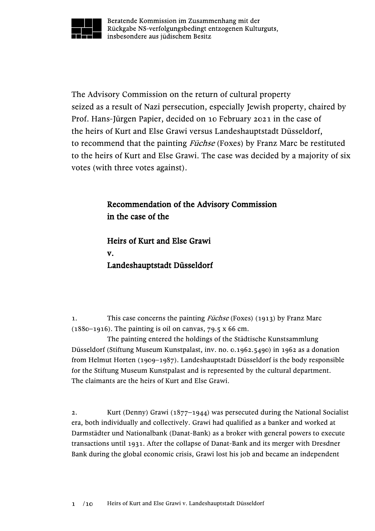

Beratende Kommission im Zusammenhang mit der Rückgabe NS-verfolgungsbedingt entzogenen Kulturguts, insbesondere aus jüdischem Besitz

The Advisory Commission on the return of cultural property seized as a result of Nazi persecution, especially Jewish property, chaired by Prof. Hans-Jürgen Papier, decided on 10 February 2021 in the case of the heirs of Kurt and Else Grawi versus Landeshauptstadt Düsseldorf, to recommend that the painting *Füchse* (Foxes) by Franz Marc be restituted to the heirs of Kurt and Else Grawi. The case was decided by a majority of six votes (with three votes against).

## Recommendation of the Advisory Commission in the case of the

Heirs of Kurt and Else Grawi v. Landeshauptstadt Düsseldorf

1. This case concerns the painting *Füchse* (Foxes) (1913) by Franz Marc  $(1880-1916)$ . The painting is oil on canvas, 79.5 x 66 cm.

The painting entered the holdings of the Städtische Kunstsammlung Düsseldorf (Stiftung Museum Kunstpalast, inv. no. 0.1962.5490) in 1962 as a donation from Helmut Horten (1909–1987). Landeshauptstadt Düsseldorf is the body responsible for the Stiftung Museum Kunstpalast and is represented by the cultural department. The claimants are the heirs of Kurt and Else Grawi.

2. Kurt (Denny) Grawi (1877–1944) was persecuted during the National Socialist era, both individually and collectively. Grawi had qualified as a banker and worked at Darmstädter und Nationalbank (Danat-Bank) as a broker with general powers to execute transactions until 1931. After the collapse of Danat-Bank and its merger with Dresdner Bank during the global economic crisis, Grawi lost his job and became an independent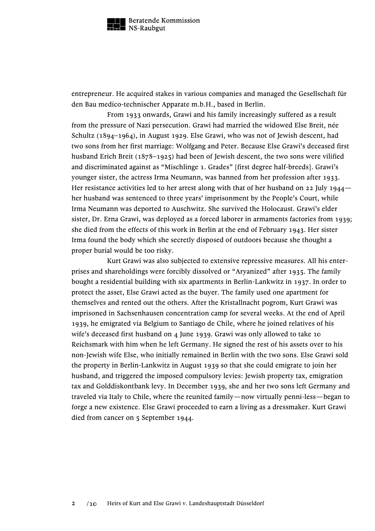

entrepreneur. He acquired stakes in various companies and managed the Gesellschaft für den Bau medico-technischer Apparate m.b.H., based in Berlin.

From 1933 onwards, Grawi and his family increasingly suffered as a result from the pressure of Nazi persecution. Grawi had married the widowed Else Breit, née Schultz (1894–1964), in August 1929. Else Grawi, who was not of Jewish descent, had two sons from her first marriage: Wolfgang and Peter. Because Else Grawi's deceased first husband Erich Breit (1878–1925) had been of Jewish descent, the two sons were vilified and discriminated against as "Mischlinge 1. Grades" [first degree half-breeds]. Grawi's younger sister, the actress Irma Neumann, was banned from her profession after 1933. Her resistance activities led to her arrest along with that of her husband on 22 July 1944– her husband was sentenced to three years' imprisonment by the People's Court, while Irma Neumann was deported to Auschwitz. She survived the Holocaust. Grawi's elder sister, Dr. Erna Grawi, was deployed as a forced laborer in armaments factories from 1939; she died from the effects of this work in Berlin at the end of February 1943. Her sister Irma found the body which she secretly disposed of outdoors because she thought a proper burial would be too risky.

Kurt Grawi was also subjected to extensive repressive measures. All his enterprises and shareholdings were forcibly dissolved or "Aryanized" after 1935. The family bought a residential building with six apartments in Berlin-Lankwitz in 1937. In order to protect the asset, Else Grawi acted as the buyer. The family used one apartment for themselves and rented out the others. After the Kristallnacht pogrom, Kurt Grawi was imprisoned in Sachsenhausen concentration camp for several weeks. At the end of April 1939, he emigrated via Belgium to Santiago de Chile, where he joined relatives of his wife's deceased first husband on 4 June 1939. Grawi was only allowed to take 10 Reichsmark with him when he left Germany. He signed the rest of his assets over to his non-Jewish wife Else, who initially remained in Berlin with the two sons. Else Grawi sold the property in Berlin-Lankwitz in August 1939 so that she could emigrate to join her husband, and triggered the imposed compulsory levies: Jewish property tax, emigration tax and Golddiskontbank levy. In December 1939, she and her two sons left Germany and traveled via Italy to Chile, where the reunited family—now virtually penni-less—began to forge a new existence. Else Grawi proceeded to earn a living as a dressmaker. Kurt Grawi died from cancer on 5 September 1944.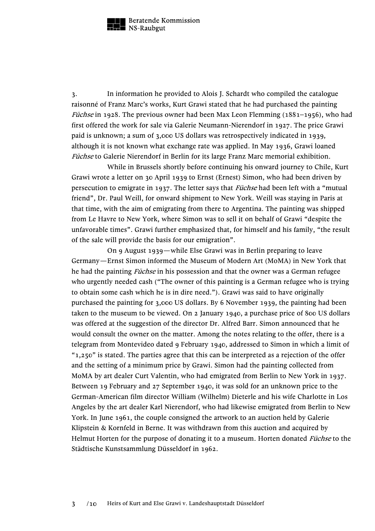

3. In information he provided to Alois J. Schardt who compiled the catalogue raisonné of Franz Marc's works, Kurt Grawi stated that he had purchased the painting *Füchse* in 1928. The previous owner had been Max Leon Flemming (1881–1956), who had first offered the work for sale via Galerie Neumann-Nierendorf in 1927. The price Grawi paid is unknown; a sum of 3,000 US dollars was retrospectively indicated in 1939, although it is not known what exchange rate was applied. In May 1936, Grawi loaned Füchse to Galerie Nierendorf in Berlin for its large Franz Marc memorial exhibition.

While in Brussels shortly before continuing his onward journey to Chile, Kurt Grawi wrote a letter on 30 April 1939 to Ernst (Ernest) Simon, who had been driven by persecution to emigrate in 1937. The letter says that *Füchse* had been left with a "mutual friend", Dr. Paul Weill, for onward shipment to New York. Weill was staying in Paris at that time, with the aim of emigrating from there to Argentina. The painting was shipped from Le Havre to New York, where Simon was to sell it on behalf of Grawi "despite the unfavorable times". Grawi further emphasized that, for himself and his family, "the result of the sale will provide the basis for our emigration".

On 9 August 1939—while Else Grawi was in Berlin preparing to leave Germany—Ernst Simon informed the Museum of Modern Art (MoMA) in New York that he had the painting *Füchse* in his possession and that the owner was a German refugee who urgently needed cash ("The owner of this painting is a German refugee who is trying to obtain some cash which he is in dire need."). Grawi was said to have originally purchased the painting for 3,000 US dollars. By 6 November 1939, the painting had been taken to the museum to be viewed. On 2 January 1940, a purchase price of 800 US dollars was offered at the suggestion of the director Dr. Alfred Barr. Simon announced that he would consult the owner on the matter. Among the notes relating to the offer, there is a telegram from Montevideo dated 9 February 1940, addressed to Simon in which a limit of " $1,250$ " is stated. The parties agree that this can be interpreted as a rejection of the offer and the setting of a minimum price by Grawi. Simon had the painting collected from MoMA by art dealer Curt Valentin, who had emigrated from Berlin to New York in 1937. Between 19 February and 27 September 1940, it was sold for an unknown price to the German-American film director William (Wilhelm) Dieterle and his wife Charlotte in Los Angeles by the art dealer Karl Nierendorf, who had likewise emigrated from Berlin to New York. In June 1961, the couple consigned the artwork to an auction held by Galerie Klipstein & Kornfeld in Berne. It was withdrawn from this auction and acquired by Helmut Horten for the purpose of donating it to a museum. Horten donated Füchse to the Städtische Kunstsammlung Düsseldorf in 1962.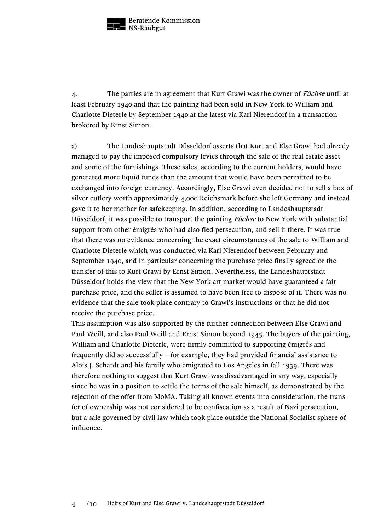

4. The parties are in agreement that Kurt Grawi was the owner of *Füchse* until at least February 1940 and that the painting had been sold in New York to William and Charlotte Dieterle by September 1940 at the latest via Karl Nierendorf in a transaction brokered by Ernst Simon.

a) The Landeshauptstadt Düsseldorf asserts that Kurt and Else Grawi had already managed to pay the imposed compulsory levies through the sale of the real estate asset and some of the furnishings. These sales, according to the current holders, would have generated more liquid funds than the amount that would have been permitted to be exchanged into foreign currency. Accordingly, Else Grawi even decided not to sell a box of silver cutlery worth approximately 4,000 Reichsmark before she left Germany and instead gave it to her mother for safekeeping. In addition, according to Landeshauptstadt Düsseldorf, it was possible to transport the painting *Füchse* to New York with substantial support from other émigrés who had also fled persecution, and sell it there. It was true that there was no evidence concerning the exact circumstances of the sale to William and Charlotte Dieterle which was conducted via Karl Nierendorf between February and September 1940, and in particular concerning the purchase price finally agreed or the transfer of this to Kurt Grawi by Ernst Simon. Nevertheless, the Landeshauptstadt Düsseldorf holds the view that the New York art market would have guaranteed a fair purchase price, and the seller is assumed to have been free to dispose of it. There was no evidence that the sale took place contrary to Grawi's instructions or that he did not receive the purchase price.

This assumption was also supported by the further connection between Else Grawi and Paul Weill, and also Paul Weill and Ernst Simon beyond 1945. The buyers of the painting, William and Charlotte Dieterle, were firmly committed to supporting émigrés and frequently did so successfully—for example, they had provided financial assistance to Alois J. Schardt and his family who emigrated to Los Angeles in fall 1939. There was therefore nothing to suggest that Kurt Grawi was disadvantaged in any way, especially since he was in a position to settle the terms of the sale himself, as demonstrated by the rejection of the offer from MoMA. Taking all known events into consideration, the transfer of ownership was not considered to be confiscation as a result of Nazi persecution, but a sale governed by civil law which took place outside the National Socialist sphere of influence.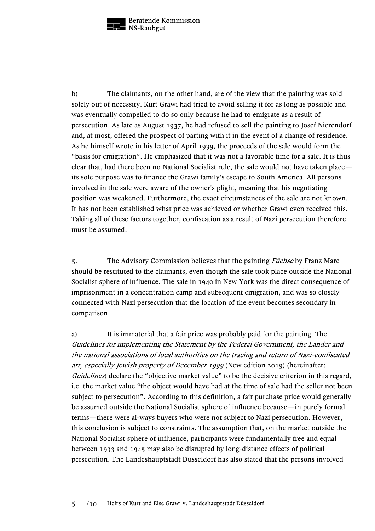

b) The claimants, on the other hand, are of the view that the painting was sold solely out of necessity. Kurt Grawi had tried to avoid selling it for as long as possible and was eventually compelled to do so only because he had to emigrate as a result of persecution. As late as August 1937, he had refused to sell the painting to Josef Nierendorf and, at most, offered the prospect of parting with it in the event of a change of residence. As he himself wrote in his letter of April 1939, the proceeds of the sale would form the "basis for emigration". He emphasized that it was not a favorable time for a sale. It is thus clear that, had there been no National Socialist rule, the sale would not have taken place its sole purpose was to finance the Grawi family's escape to South America. All persons involved in the sale were aware of the owner's plight, meaning that his negotiating position was weakened. Furthermore, the exact circumstances of the sale are not known. It has not been established what price was achieved or whether Grawi even received this. Taking all of these factors together, confiscation as a result of Nazi persecution therefore must be assumed.

5. The Advisory Commission believes that the painting *Füchse* by Franz Marc should be restituted to the claimants, even though the sale took place outside the National Socialist sphere of influence. The sale in 1940 in New York was the direct consequence of imprisonment in a concentration camp and subsequent emigration, and was so closely connected with Nazi persecution that the location of the event becomes secondary in comparison.

a) It is immaterial that a fair price was probably paid for the painting. The Guidelines for implementing the Statement by the Federal Government, the Länder and the national associations of local authorities on the tracing and return of Nazi-confiscated art, especially Jewish property of December 1999 (New edition 2019) (hereinafter: Guidelines) declare the "objective market value" to be the decisive criterion in this regard, i.e. the market value "the object would have had at the time of sale had the seller not been subject to persecution". According to this definition, a fair purchase price would generally be assumed outside the National Socialist sphere of influence because—in purely formal terms—there were al-ways buyers who were not subject to Nazi persecution. However, this conclusion is subject to constraints. The assumption that, on the market outside the National Socialist sphere of influence, participants were fundamentally free and equal between 1933 and 1945 may also be disrupted by long-distance effects of political persecution. The Landeshauptstadt Düsseldorf has also stated that the persons involved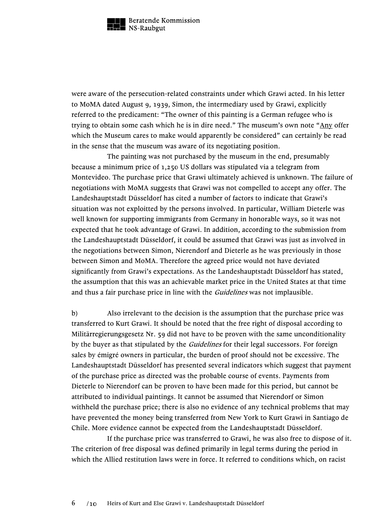

were aware of the persecution-related constraints under which Grawi acted. In his letter to MoMA dated August 9, 1939, Simon, the intermediary used by Grawi, explicitly referred to the predicament: "The owner of this painting is a German refugee who is trying to obtain some cash which he is in dire need." The museum's own note "Any offer which the Museum cares to make would apparently be considered" can certainly be read in the sense that the museum was aware of its negotiating position.

The painting was not purchased by the museum in the end, presumably because a minimum price of 1,250 US dollars was stipulated via a telegram from Montevideo. The purchase price that Grawi ultimately achieved is unknown. The failure of negotiations with MoMA suggests that Grawi was not compelled to accept any offer. The Landeshauptstadt Düsseldorf has cited a number of factors to indicate that Grawi's situation was not exploitted by the persons involved. In particular, William Dieterle was well known for supporting immigrants from Germany in honorable ways, so it was not expected that he took advantage of Grawi. In addition, according to the submission from the Landeshauptstadt Düsseldorf, it could be assumed that Grawi was just as involved in the negotiations between Simon, Nierendorf and Dieterle as he was previously in those between Simon and MoMA. Therefore the agreed price would not have deviated significantly from Grawi's expectations. As the Landeshauptstadt Düsseldorf has stated, the assumption that this was an achievable market price in the United States at that time and thus a fair purchase price in line with the *Guidelines* was not implausible.

b) Also irrelevant to the decision is the assumption that the purchase price was transferred to Kurt Grawi. It should be noted that the free right of disposal according to Militärregierungsgesetz Nr. 59 did not have to be proven with the same unconditionality by the buyer as that stipulated by the *Guidelines* for their legal successors. For foreign sales by émigré owners in particular, the burden of proof should not be excessive. The Landeshauptstadt Düsseldorf has presented several indicators which suggest that payment of the purchase price as directed was the probable course of events. Payments from Dieterle to Nierendorf can be proven to have been made for this period, but cannot be attributed to individual paintings. It cannot be assumed that Nierendorf or Simon withheld the purchase price; there is also no evidence of any technical problems that may have prevented the money being transferred from New York to Kurt Grawi in Santiago de Chile. More evidence cannot be expected from the Landeshauptstadt Düsseldorf.

If the purchase price was transferred to Grawi, he was also free to dispose of it. The criterion of free disposal was defined primarily in legal terms during the period in which the Allied restitution laws were in force. It referred to conditions which, on racist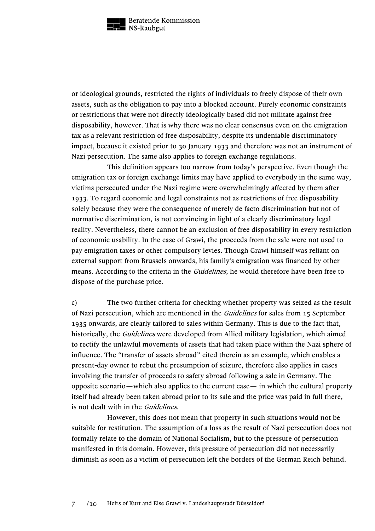

or ideological grounds, restricted the rights of individuals to freely dispose of their own assets, such as the obligation to pay into a blocked account. Purely economic constraints or restrictions that were not directly ideologically based did not militate against free disposability, however. That is why there was no clear consensus even on the emigration tax as a relevant restriction of free disposability, despite its undeniable discriminatory impact, because it existed prior to 30 January 1933 and therefore was not an instrument of Nazi persecution. The same also applies to foreign exchange regulations.

This definition appears too narrow from today's perspective. Even though the emigration tax or foreign exchange limits may have applied to everybody in the same way, victims persecuted under the Nazi regime were overwhelmingly affected by them after 1933. To regard economic and legal constraints not as restrictions of free disposability solely because they were the consequence of merely de facto discrimination but not of normative discrimination, is not convincing in light of a clearly discriminatory legal reality. Nevertheless, there cannot be an exclusion of free disposability in every restriction of economic usability. In the case of Grawi, the proceeds from the sale were not used to pay emigration taxes or other compulsory levies. Though Grawi himself was reliant on external support from Brussels onwards, his family's emigration was financed by other means. According to the criteria in the *Guidelines*, he would therefore have been free to dispose of the purchase price.

c) The two further criteria for checking whether property was seized as the result of Nazi persecution, which are mentioned in the *Guidelines* for sales from 15 September 1935 onwards, are clearly tailored to sales within Germany. This is due to the fact that, historically, the *Guidelines* were developed from Allied military legislation, which aimed to rectify the unlawful movements of assets that had taken place within the Nazi sphere of influence. The "transfer of assets abroad" cited therein as an example, which enables a present-day owner to rebut the presumption of seizure, therefore also applies in cases involving the transfer of proceeds to safety abroad following a sale in Germany. The opposite scenario—which also applies to the current case— in which the cultural property itself had already been taken abroad prior to its sale and the price was paid in full there, is not dealt with in the *Guidelines*.

However, this does not mean that property in such situations would not be suitable for restitution. The assumption of a loss as the result of Nazi persecution does not formally relate to the domain of National Socialism, but to the pressure of persecution manifested in this domain. However, this pressure of persecution did not necessarily diminish as soon as a victim of persecution left the borders of the German Reich behind.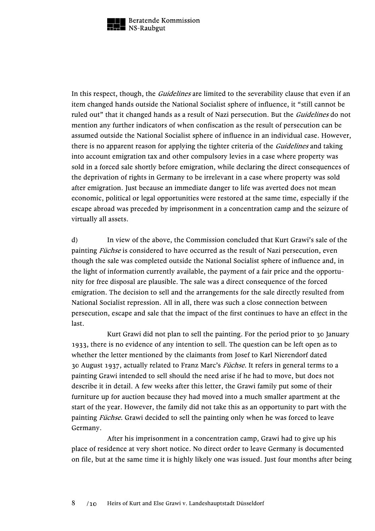

In this respect, though, the *Guidelines* are limited to the severability clause that even if an item changed hands outside the National Socialist sphere of influence, it "still cannot be ruled out" that it changed hands as a result of Nazi persecution. But the *Guidelines* do not mention any further indicators of when confiscation as the result of persecution can be assumed outside the National Socialist sphere of influence in an individual case. However, there is no apparent reason for applying the tighter criteria of the *Guidelines* and taking into account emigration tax and other compulsory levies in a case where property was sold in a forced sale shortly before emigration, while declaring the direct consequences of the deprivation of rights in Germany to be irrelevant in a case where property was sold after emigration. Just because an immediate danger to life was averted does not mean economic, political or legal opportunities were restored at the same time, especially if the escape abroad was preceded by imprisonment in a concentration camp and the seizure of virtually all assets.

d) In view of the above, the Commission concluded that Kurt Grawi's sale of the painting *Füchse* is considered to have occurred as the result of Nazi persecution, even though the sale was completed outside the National Socialist sphere of influence and, in the light of information currently available, the payment of a fair price and the opportunity for free disposal are plausible. The sale was a direct consequence of the forced emigration. The decision to sell and the arrangements for the sale directly resulted from National Socialist repression. All in all, there was such a close connection between persecution, escape and sale that the impact of the first continues to have an effect in the last.

Kurt Grawi did not plan to sell the painting. For the period prior to 30 January 1933, there is no evidence of any intention to sell. The question can be left open as to whether the letter mentioned by the claimants from Josef to Karl Nierendorf dated 30 August 1937, actually related to Franz Marc's Füchse. It refers in general terms to a painting Grawi intended to sell should the need arise if he had to move, but does not describe it in detail. A few weeks after this letter, the Grawi family put some of their furniture up for auction because they had moved into a much smaller apartment at the start of the year. However, the family did not take this as an opportunity to part with the painting Füchse. Grawi decided to sell the painting only when he was forced to leave Germany.

After his imprisonment in a concentration camp, Grawi had to give up his place of residence at very short notice. No direct order to leave Germany is documented on file, but at the same time it is highly likely one was issued. Just four months after being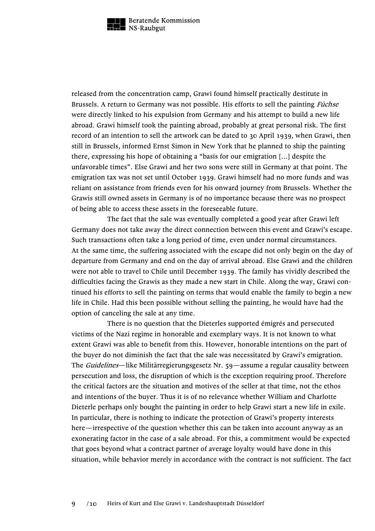

released from the concentration camp, Grawi found himself practically destitute in Brussels. A return to Germany was not possible. His efforts to sell the painting *Füchse* were directly linked to his expulsion from Germany and his attempt to build a new life abroad. Grawi himself took the painting abroad, probably at great personal risk. The first record of an intention to sell the artwork can be dated to 30 April 1939, when Grawi, then still in Brussels, informed Ernst Simon in New York that he planned to ship the painting there, expressing his hope of obtaining a "basis for our emigration [...] despite the unfavorable times". Else Grawi and her two sons were still in Germany at that point. The emigration tax was not set until October 1939. Grawi himself had no more funds and was reliant on assistance from friends even for his onward journey from Brussels. Whether the Grawis still owned assets in Germany is of no importance because there was no prospect of being able to access these assets in the foreseeable future.

The fact that the sale was eventually completed a good year after Grawi left Germany does not take away the direct connection between this event and Grawi's escape. Such transactions often take a long period of time, even under normal circumstances. At the same time, the suffering associated with the escape did not only begin on the day of departure from Germany and end on the day of arrival abroad. Else Grawi and the children were not able to travel to Chile until December 1939. The family has vividly described the difficulties facing the Grawis as they made a new start in Chile. Along the way, Grawi continued his efforts to sell the painting on terms that would enable the family to begin a new life in Chile. Had this been possible without selling the painting, he would have had the option of canceling the sale at any time.

There is no question that the Dieterles supported émigrés and persecuted victims of the Nazi regime in honorable and exemplary ways. It is not known to what extent Grawi was able to benefit from this. However, honorable intentions on the part of the buyer do not diminish the fact that the sale was necessitated by Grawi's emigration. The *Guidelines*—like Militärregierungsgesetz Nr. 59—assume a regular causality between persecution and loss, the disruption of which is the exception requiring proof. Therefore the critical factors are the situation and motives of the seller at that time, not the ethos and intentions of the buyer. Thus it is of no relevance whether William and Charlotte Dieterle perhaps only bought the painting in order to help Grawi start a new life in exile. In particular, there is nothing to indicate the protection of Grawi's property interests here—irrespective of the question whether this can be taken into account anyway as an exonerating factor in the case of a sale abroad. For this, a commitment would be expected that goes beyond what a contract partner of average loyalty would have done in this situation, while behavior merely in accordance with the contract is not sufficient. The fact